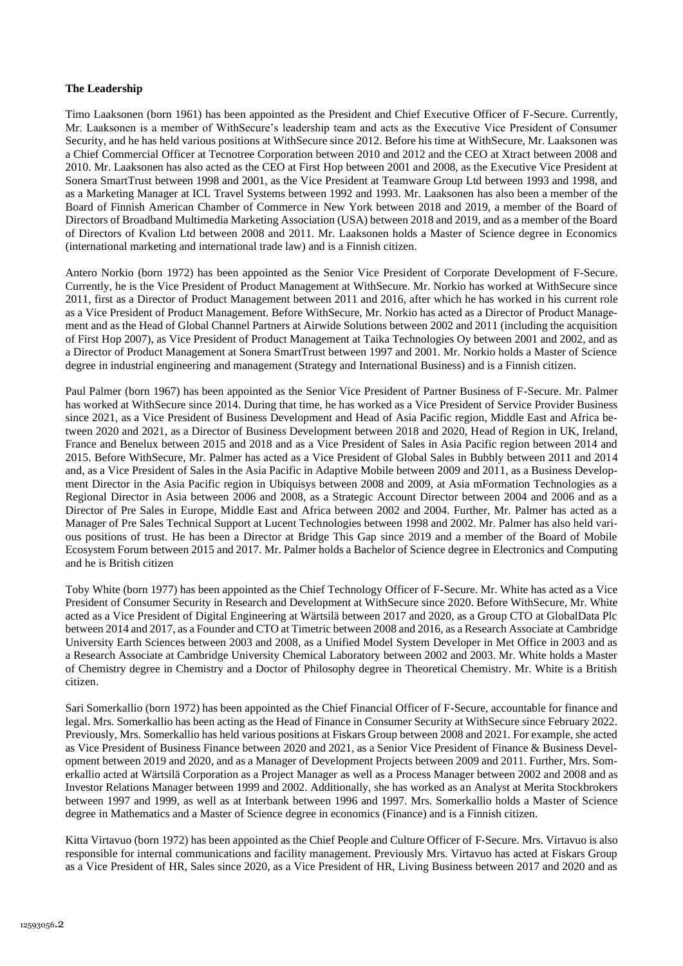## **The Leadership**

Timo Laaksonen (born 1961) has been appointed as the President and Chief Executive Officer of F-Secure. Currently, Mr. Laaksonen is a member of WithSecure's leadership team and acts as the Executive Vice President of Consumer Security, and he has held various positions at WithSecure since 2012. Before his time at WithSecure, Mr. Laaksonen was a Chief Commercial Officer at Tecnotree Corporation between 2010 and 2012 and the CEO at Xtract between 2008 and 2010. Mr. Laaksonen has also acted as the CEO at First Hop between 2001 and 2008, as the Executive Vice President at Sonera SmartTrust between 1998 and 2001, as the Vice President at Teamware Group Ltd between 1993 and 1998, and as a Marketing Manager at ICL Travel Systems between 1992 and 1993. Mr. Laaksonen has also been a member of the Board of Finnish American Chamber of Commerce in New York between 2018 and 2019, a member of the Board of Directors of Broadband Multimedia Marketing Association (USA) between 2018 and 2019, and as a member of the Board of Directors of Kvalion Ltd between 2008 and 2011. Mr. Laaksonen holds a Master of Science degree in Economics (international marketing and international trade law) and is a Finnish citizen.

Antero Norkio (born 1972) has been appointed as the Senior Vice President of Corporate Development of F-Secure. Currently, he is the Vice President of Product Management at WithSecure. Mr. Norkio has worked at WithSecure since 2011, first as a Director of Product Management between 2011 and 2016, after which he has worked in his current role as a Vice President of Product Management. Before WithSecure, Mr. Norkio has acted as a Director of Product Management and as the Head of Global Channel Partners at Airwide Solutions between 2002 and 2011 (including the acquisition of First Hop 2007), as Vice President of Product Management at Taika Technologies Oy between 2001 and 2002, and as a Director of Product Management at Sonera SmartTrust between 1997 and 2001. Mr. Norkio holds a Master of Science degree in industrial engineering and management (Strategy and International Business) and is a Finnish citizen.

Paul Palmer (born 1967) has been appointed as the Senior Vice President of Partner Business of F-Secure. Mr. Palmer has worked at WithSecure since 2014. During that time, he has worked as a Vice President of Service Provider Business since 2021, as a Vice President of Business Development and Head of Asia Pacific region, Middle East and Africa between 2020 and 2021, as a Director of Business Development between 2018 and 2020, Head of Region in UK, Ireland, France and Benelux between 2015 and 2018 and as a Vice President of Sales in Asia Pacific region between 2014 and 2015. Before WithSecure, Mr. Palmer has acted as a Vice President of Global Sales in Bubbly between 2011 and 2014 and, as a Vice President of Sales in the Asia Pacific in Adaptive Mobile between 2009 and 2011, as a Business Development Director in the Asia Pacific region in Ubiquisys between 2008 and 2009, at Asia mFormation Technologies as a Regional Director in Asia between 2006 and 2008, as a Strategic Account Director between 2004 and 2006 and as a Director of Pre Sales in Europe, Middle East and Africa between 2002 and 2004. Further, Mr. Palmer has acted as a Manager of Pre Sales Technical Support at Lucent Technologies between 1998 and 2002. Mr. Palmer has also held various positions of trust. He has been a Director at Bridge This Gap since 2019 and a member of the Board of Mobile Ecosystem Forum between 2015 and 2017. Mr. Palmer holds a Bachelor of Science degree in Electronics and Computing and he is British citizen

Toby White (born 1977) has been appointed as the Chief Technology Officer of F-Secure. Mr. White has acted as a Vice President of Consumer Security in Research and Development at WithSecure since 2020. Before WithSecure, Mr. White acted as a Vice President of Digital Engineering at Wärtsilä between 2017 and 2020, as a Group CTO at GlobalData Plc between 2014 and 2017, as a Founder and CTO at Timetric between 2008 and 2016, as a Research Associate at Cambridge University Earth Sciences between 2003 and 2008, as a Unified Model System Developer in Met Office in 2003 and as a Research Associate at Cambridge University Chemical Laboratory between 2002 and 2003. Mr. White holds a Master of Chemistry degree in Chemistry and a Doctor of Philosophy degree in Theoretical Chemistry. Mr. White is a British citizen.

Sari Somerkallio (born 1972) has been appointed as the Chief Financial Officer of F-Secure, accountable for finance and legal. Mrs. Somerkallio has been acting as the Head of Finance in Consumer Security at WithSecure since February 2022. Previously, Mrs. Somerkallio has held various positions at Fiskars Group between 2008 and 2021. For example, she acted as Vice President of Business Finance between 2020 and 2021, as a Senior Vice President of Finance & Business Development between 2019 and 2020, and as a Manager of Development Projects between 2009 and 2011. Further, Mrs. Somerkallio acted at Wärtsilä Corporation as a Project Manager as well as a Process Manager between 2002 and 2008 and as Investor Relations Manager between 1999 and 2002. Additionally, she has worked as an Analyst at Merita Stockbrokers between 1997 and 1999, as well as at Interbank between 1996 and 1997. Mrs. Somerkallio holds a Master of Science degree in Mathematics and a Master of Science degree in economics (Finance) and is a Finnish citizen.

Kitta Virtavuo (born 1972) has been appointed as the Chief People and Culture Officer of F-Secure. Mrs. Virtavuo is also responsible for internal communications and facility management. Previously Mrs. Virtavuo has acted at Fiskars Group as a Vice President of HR, Sales since 2020, as a Vice President of HR, Living Business between 2017 and 2020 and as